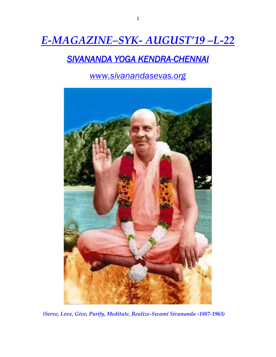# *E-MAGAZINE–SYK- AUGUST'19 –L-22*

## *SIVANANDA YOGA KENDRA-CHENNAI*

*www.sivanandasevas.org*



*(Serve, Love, Give, Purify, Meditate, Realize-Swami Sivananda -1887-1963)*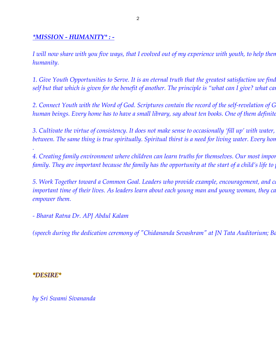#### *\*MISSION - HUMANITY\* : -*

*I will now share with you five ways, that I evolved out of my experience with youth, to help then humanity.*

*1. Give Youth Opportunities to Serve. It is an eternal truth that the greatest satisfaction we find in this life is not that which is done for self but that which is given for the benefit of another. The principle is "what can I give? what can* 

*2. Connect Youth with the Word of God. Scriptures contain the record of the self-revelation of God, and through them God speaks to human beings. Every home has to have a small library, say about ten books. One of them definite* 

*3. Cultivate the virtue of consistency. It does not make sense to occasionally 'fill up' with water,* between. The same thing is true spiritually. Spiritual thirst is a need for living water. Every hon

*4. Creating family environment where children can learn truths for themselves. Our most important and powerful assignments are in the family. They are important because the family has the opportunity at the start of a child's life to* 

*5. Work Together toward a Common Goal. Leaders who provide example, encouragement, and caring can be invaluable to youth at this important time of their lives. As leaders learn about each young man and young woman, they ca empower them.*

*- Bharat Ratna Dr. APJ Abdul Kalam*

*(speech during the dedication ceremony of "Chidananda Sevashram" at JN Tata Auditorium; Bangalore on 19th Dec 2014)* 

#### *\*DESIRE\**

*.*

*by Sri Swami Sivananda*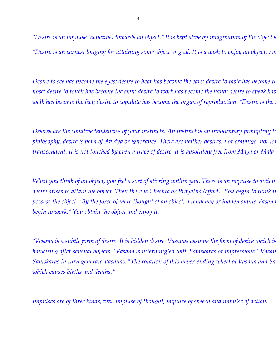*\*Desire is an impulse (conative) towards an object.\* It is kept alive by imagination of the object s \*Desire is an earnest longing for attaining some object or goal. It is a wish to enjoy an object. An urge to attain something is desire.\**

*Desire to see has become the eyes; desire to hear has become the ears; desire to taste has become the tongue; desire to see has become the eyes; desire to smeller nose; desire to touch has become the skin; desire to work has become the hand; desire to speak has walk has become the feet; desire to copulate has become the organ of reproduction. \*Desire is the*:

*Desires are the conative tendencies of your instincts. An instinct is an involuntary prompting to philosophy, desire is born of Avidya or ignorance. There are neither desires, nor cravings, nor longings in tho transcendent. It is not touched by even a trace of desire. It is absolutely free from Maya or Mala* 

*When you think of an object, you feel a sort of stirring within you. There is an impulse to action desire arises to attain the object. Then there is Cheshta or Prayatna (effort). You begin to think in possess the object.* \*By the force of mere thought of an object, a tendency or hidden subtle Vasana *begin to work.\* You obtain the object and enjoy it.*

*\*Vasana is a subtle form of desire. It is hidden desire. Vasanas assume the form of desire which is gross.\* Trishna is intense craving or hankering after sensual objects. \*Vasana is intermingled with Samskaras or impressions.\* Vasan Samskaras in turn generate Vasanas.* \*The rotation of this never-ending wheel of Vasana and Sa *which causes births and deaths.\**

*Impulses are of three kinds, viz., impulse of thought, impulse of speech and impulse of action.*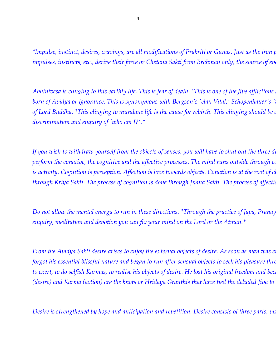*\*Impulse, instinct, desires, cravings, are all modifications of Prakriti or Gunas. Just as the iron pieces move in the presence of magnet, the impulses, instincts, etc., derive their force or Chetana Sakti from Brahman only, the source of everything.\** 

*Abhinivesa is clinging to this earthly life. This is fear of death. \*This is one of the five afflictions born of Avidya or ignorance. This is synonymous with Bergson's 'elan Vital,' Schopenhauer's 't of Lord Buddha.* \*This clinging to mundane life is the cause for rebirth. This clinging should be down that the through dispassion. This cling in g hould be a *discrimination and enquiry of 'who am I?'.\**

*If you wish to withdraw yourself from the objects of senses, you will have to shut out the three di perform the conative, the cognitive and the affective processes. The mind runs outside through conation. Conation, conation, concation and affection mind runs outside through conation. Continently is activity. Cognition is perception. Affection is love towards objects. Conation is at the root of all through Kriya Sakti. The process of cognition is done through Jnana Sakti. The process of affection-*

*Do not allow the mental energy to run in these directions. \*Through the practice of Japa, Pranay enquiry, meditation and devotion you can fix your mind on the Lord or the Atman.\**

*From the Avidya Sakti desire arises to enjoy the external objects of desire. As soon as man was end of the veil of the external objects of desire. As soon as man was end of the analyzing the analyzing manuform and the Avi forgot his essential blissful nature and began to run after sensual objects to seek his pleasure through the senses. to exert, to do selfish Karmas, to realise his objects of desire. He lost his original freedom and became bound. (desire) and Karma (action) are the knots or Hridaya Granthis that have tied the deluded Jiva to* 

*Desire is strengthened by hope and anticipation and repetition. Desire consists of three parts, viz*.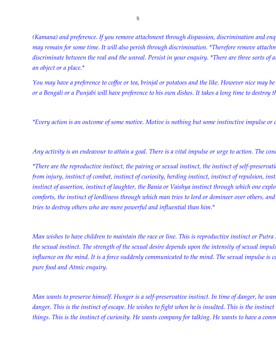*(Kamana) and preference. If you remove attachment through dispassion, discrimination and enq may remain for some time. It will also perish through discrimination.* \* Therefore remove attachm *discriminate between the real and the unreal. Persist in your enquiry. \*There are three sorts of a an object or a place.\**

*You may have a preference to coffee or tea, brinjal or potatoes and the like. However nice may be or a Bengali or a Punjabi will have preference to his own dishes. It takes a long time to destroy this preference.*

*\*Every action is an outcome of some motive. Motive is nothing but some instinctive impulse or combination of two or more impulses.\**

*Any activity is an endeavour to attain a goal. There is a vital impulse or urge to action. The conation are process in man.* <sup>\*</sup>There are the reproductive instinct, the pairing or sexual instinct, the instinct of self-preservation, *from injury, instinct of combat, instinct of curiosity, herding instinct, instinct of repulsion, inst instinct of assertion, instinct of laughter, the Bania or Vaishya instinct through which one explo comforts, the instinct of lordliness through which man tries to lord or domineer over others, and tries to destroy others who are more powerful and influential than him.\**

*Man wishes to have children to maintain the race or line. This is reproductive instinct or Putra*. *the sexual instinct. The strength of the sexual desire depends upon the intensity of sexual impuls influence on the mind. It is a force suddenly communicated to the mind. The sexual impulse is controlled by a formation, the mind, It is a force suddenly communicated to the mind, Influence on the mind, Influence pure food and Atmic enquiry.*

*Man wants to preserve himself. Hunger is a self-preservative instinct. In time of danger, he wan danger. This is the instinct of escape. He wishes to fight when he is insulted. This is the instinct things. This is the instinct of curiosity. He wants company for talking. He wants to have a comm*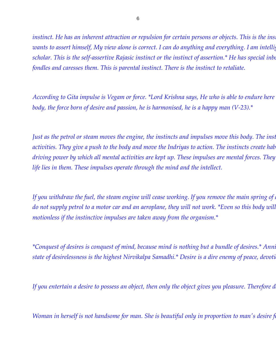*instinct. He has an inherent attraction or repulsion for certain persons or objects. This is the ins wants to assert himself, My view alone is correct. I can do anything and everything. I am intellig scholar. This is the self-assertive Rajasic instinct or the instinct of assertion.\* He has special inbornera. This is the self-assertive Rajasic instinct or the instinct of assertion.\* He has special inbornera. fondles and caresses them. This is parental instinct. There is the instinct to retaliate.*

*According to Gita impulse is Vegam or force. \*Lord Krishna says, He who is able to endure here body, the force born of desire and passion, he is harmonised, he is a happy man (V-23).\**

*Just as the petrol or steam moves the engine, the instincts and impulses move this body. The instinanty are the prime move the prime movers are the prime movers of all human movers are the instinction movers are non*activities. They give a push to the body and move the Indriyas to action. The instincts create hab *driving power by which all mental activities are kept up. These impulses are mental forces. They life lies in them. These impulses operate through the mind and the intellect.*

*If you withdraw the fuel, the steam engine will cease working. If you remove the main spring of a do not supply petrol to a motor car and an aeroplane, they will not work. \*Even so this body will motionless if the instinctive impulses are taken away from the organism.\**

\*Conquest of desires is conquest of mind, because mind is nothing but a bundle of desires.\* Anni *state of desirelessness is the highest Nirvikalpa Samadhi.\* Desire is a dire enemy of peace, devoti* 

*If you entertain a desire to possess an object, then only the object gives you pleasure. Therefore d* 

*Woman in herself is not handsome for man. She is beautiful only in proportion to man's desire f*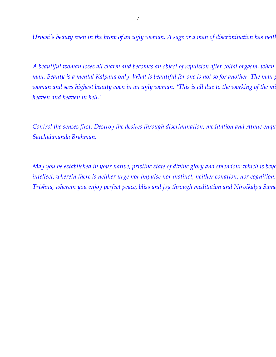*Urvasi's beauty even in the brow of an ugly woman. A sage or a man of discrimination has neither attraction nor woman. A sage or a man of discrimination has neither attraction for woman. A sage or a man of discrimination* 

*A beautiful woman loses all charm and becomes an object of repulsion after coital orgasm, when the sex impulse is at its lowest ebb in man. Beauty is a mental Kalpana only. What is beautiful for one is not so for another. The man p woman and sees highest beauty even in an ugly woman.* \*This is all due to the working of the mind which creates hell in an up and which and which creates header and which creates held in an analyzed the mind woman and see *heaven and heaven in hell.\**

*Control the senses first. Destroy the desires through discrimination, meditation and Atmic enquiry and rest in the desireless Satchidananda Brahman.*

*May you be established in your native, pristine state of divine glory and splendour which is beyd* intellect, wherein there is neither urge nor impulse nor instinct, neither conation, nor cognition, *Trishna, wherein you enjoy perfect peace, bliss and joy through meditation and Nirvikalpa Samd*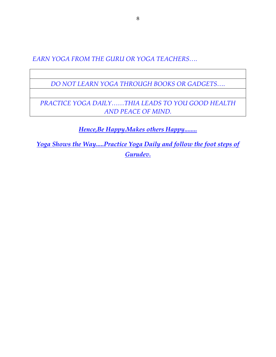*EARN YOGA FROM THE GURU OR YOGA TEACHERS….*

*DO NOT LEARN YOGA THROUGH BOOKS OR GADGETS….*

*PRACTICE YOGA DAILY……THIA LEADS TO YOU GOOD HEALTH AND PEACE OF MIND.*

*Hence,Be Happy.Makes others Happy........*

*Yoga Shows the Way.....Practice Yoga Daily and follow the foot steps of Gurudev.*